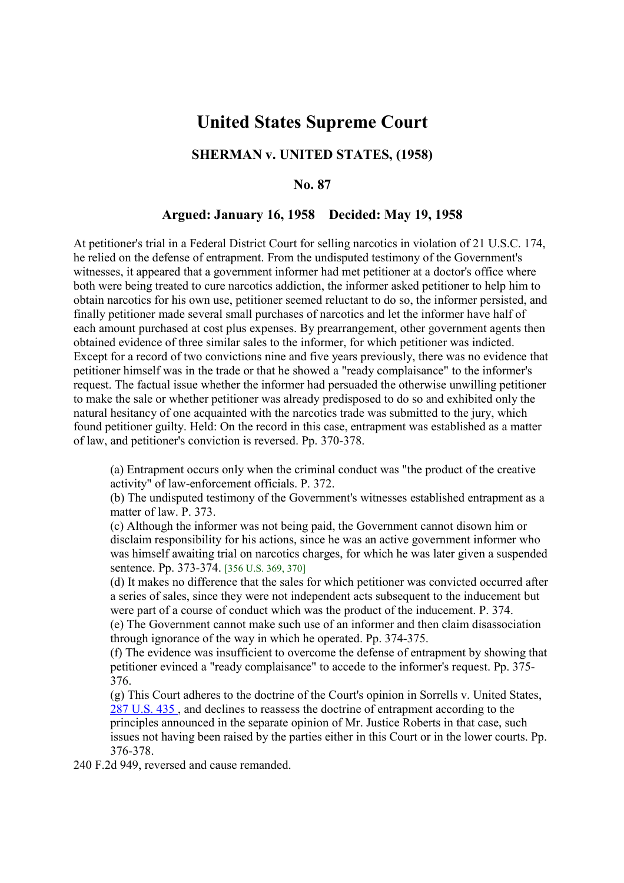# **United States Supreme Court**

## **SHERMAN v. UNITED STATES, (1958)**

#### **No. 87**

### **Argued: January 16, 1958 Decided: May 19, 1958**

At petitioner's trial in a Federal District Court for selling narcotics in violation of 21 U.S.C. 174, he relied on the defense of entrapment. From the undisputed testimony of the Government's witnesses, it appeared that a government informer had met petitioner at a doctor's office where both were being treated to cure narcotics addiction, the informer asked petitioner to help him to obtain narcotics for his own use, petitioner seemed reluctant to do so, the informer persisted, and finally petitioner made several small purchases of narcotics and let the informer have half of each amount purchased at cost plus expenses. By prearrangement, other government agents then obtained evidence of three similar sales to the informer, for which petitioner was indicted. Except for a record of two convictions nine and five years previously, there was no evidence that petitioner himself was in the trade or that he showed a "ready complaisance" to the informer's request. The factual issue whether the informer had persuaded the otherwise unwilling petitioner to make the sale or whether petitioner was already predisposed to do so and exhibited only the natural hesitancy of one acquainted with the narcotics trade was submitted to the jury, which found petitioner guilty. Held: On the record in this case, entrapment was established as a matter of law, and petitioner's conviction is reversed. Pp. 370-378.

(a) Entrapment occurs only when the criminal conduct was "the product of the creative activity" of law-enforcement officials. P. 372.

(b) The undisputed testimony of the Government's witnesses established entrapment as a matter of law. P. 373.

(c) Although the informer was not being paid, the Government cannot disown him or disclaim responsibility for his actions, since he was an active government informer who was himself awaiting trial on narcotics charges, for which he was later given a suspended sentence. Pp. 373-374. [356 U.S. 369, 370]

(d) It makes no difference that the sales for which petitioner was convicted occurred after a series of sales, since they were not independent acts subsequent to the inducement but were part of a course of conduct which was the product of the inducement. P. 374. (e) The Government cannot make such use of an informer and then claim disassociation through ignorance of the way in which he operated. Pp. 374-375.

(f) The evidence was insufficient to overcome the defense of entrapment by showing that petitioner evinced a "ready complaisance" to accede to the informer's request. Pp. 375- 376.

(g) This Court adheres to the doctrine of the Court's opinion in Sorrells v. United States, 287 U.S. 435 , and declines to reassess the doctrine of entrapment according to the principles announced in the separate opinion of Mr. Justice Roberts in that case, such issues not having been raised by the parties either in this Court or in the lower courts. Pp. 376-378.

240 F.2d 949, reversed and cause remanded.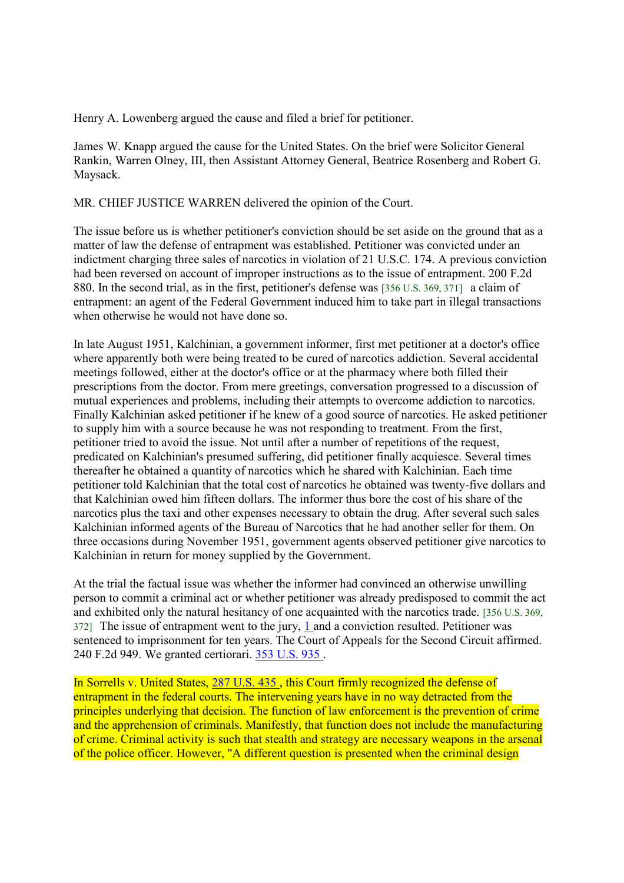Henry A. Lowenberg argued the cause and filed a brief for petitioner.

James W. Knapp argued the cause for the United States. On the brief were Solicitor General Rankin, Warren Olney, III, then Assistant Attorney General, Beatrice Rosenberg and Robert G. Maysack.

MR. CHIEF JUSTICE WARREN delivered the opinion of the Court.

The issue before us is whether petitioner's conviction should be set aside on the ground that as a matter of law the defense of entrapment was established. Petitioner was convicted under an indictment charging three sales of narcotics in violation of 21 U.S.C. 174. A previous conviction had been reversed on account of improper instructions as to the issue of entrapment. 200 F.2d 880. In the second trial, as in the first, petitioner's defense was [356 U.S. 369, 371] a claim of entrapment: an agent of the Federal Government induced him to take part in illegal transactions when otherwise he would not have done so.

In late August 1951, Kalchinian, a government informer, first met petitioner at a doctor's office where apparently both were being treated to be cured of narcotics addiction. Several accidental meetings followed, either at the doctor's office or at the pharmacy where both filled their prescriptions from the doctor. From mere greetings, conversation progressed to a discussion of mutual experiences and problems, including their attempts to overcome addiction to narcotics. Finally Kalchinian asked petitioner if he knew of a good source of narcotics. He asked petitioner to supply him with a source because he was not responding to treatment. From the first, petitioner tried to avoid the issue. Not until after a number of repetitions of the request, predicated on Kalchinian's presumed suffering, did petitioner finally acquiesce. Several times thereafter he obtained a quantity of narcotics which he shared with Kalchinian. Each time petitioner told Kalchinian that the total cost of narcotics he obtained was twenty-five dollars and that Kalchinian owed him fifteen dollars. The informer thus bore the cost of his share of the narcotics plus the taxi and other expenses necessary to obtain the drug. After several such sales Kalchinian informed agents of the Bureau of Narcotics that he had another seller for them. On three occasions during November 1951, government agents observed petitioner give narcotics to Kalchinian in return for money supplied by the Government.

At the trial the factual issue was whether the informer had convinced an otherwise unwilling person to commit a criminal act or whether petitioner was already predisposed to commit the act and exhibited only the natural hesitancy of one acquainted with the narcotics trade. [356 U.S. 369, 372] The issue of entrapment went to the jury, 1 and a conviction resulted. Petitioner was sentenced to imprisonment for ten years. The Court of Appeals for the Second Circuit affirmed. 240 F.2d 949. We granted certiorari. 353 U.S. 935 .

In Sorrells v. United States, 287 U.S. 435 , this Court firmly recognized the defense of entrapment in the federal courts. The intervening years have in no way detracted from the principles underlying that decision. The function of law enforcement is the prevention of crime and the apprehension of criminals. Manifestly, that function does not include the manufacturing of crime. Criminal activity is such that stealth and strategy are necessary weapons in the arsenal of the police officer. However, "A different question is presented when the criminal design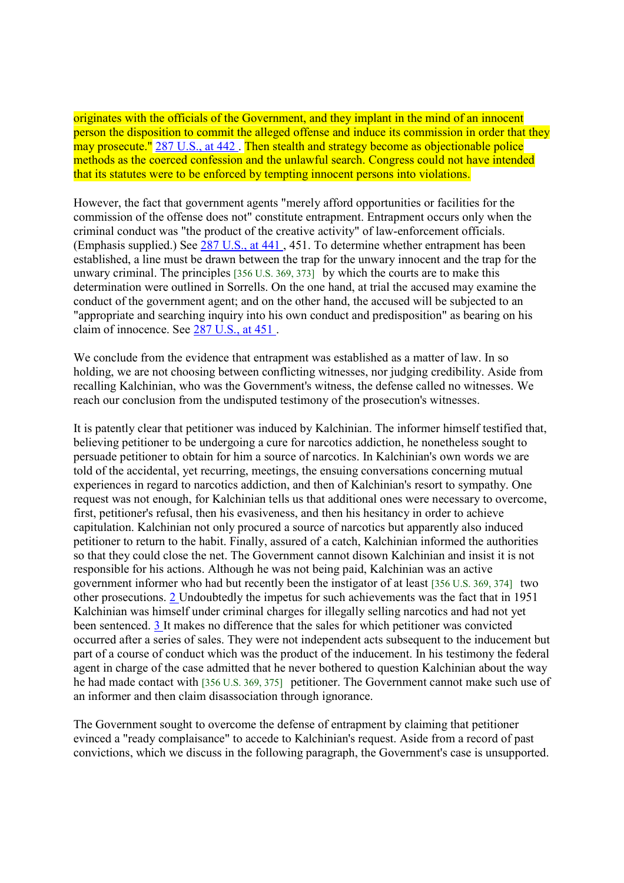originates with the officials of the Government, and they implant in the mind of an innocent person the disposition to commit the alleged offense and induce its commission in order that they may prosecute." 287 U.S., at 442. Then stealth and strategy become as objectionable police methods as the coerced confession and the unlawful search. Congress could not have intended that its statutes were to be enforced by tempting innocent persons into violations.

However, the fact that government agents "merely afford opportunities or facilities for the commission of the offense does not" constitute entrapment. Entrapment occurs only when the criminal conduct was "the product of the creative activity" of law-enforcement officials. (Emphasis supplied.) See 287 U.S., at 441 , 451. To determine whether entrapment has been established, a line must be drawn between the trap for the unwary innocent and the trap for the unwary criminal. The principles [356 U.S. 369, 373] by which the courts are to make this determination were outlined in Sorrells. On the one hand, at trial the accused may examine the conduct of the government agent; and on the other hand, the accused will be subjected to an "appropriate and searching inquiry into his own conduct and predisposition" as bearing on his claim of innocence. See 287 U.S., at 451 .

We conclude from the evidence that entrapment was established as a matter of law. In so holding, we are not choosing between conflicting witnesses, nor judging credibility. Aside from recalling Kalchinian, who was the Government's witness, the defense called no witnesses. We reach our conclusion from the undisputed testimony of the prosecution's witnesses.

It is patently clear that petitioner was induced by Kalchinian. The informer himself testified that, believing petitioner to be undergoing a cure for narcotics addiction, he nonetheless sought to persuade petitioner to obtain for him a source of narcotics. In Kalchinian's own words we are told of the accidental, yet recurring, meetings, the ensuing conversations concerning mutual experiences in regard to narcotics addiction, and then of Kalchinian's resort to sympathy. One request was not enough, for Kalchinian tells us that additional ones were necessary to overcome, first, petitioner's refusal, then his evasiveness, and then his hesitancy in order to achieve capitulation. Kalchinian not only procured a source of narcotics but apparently also induced petitioner to return to the habit. Finally, assured of a catch, Kalchinian informed the authorities so that they could close the net. The Government cannot disown Kalchinian and insist it is not responsible for his actions. Although he was not being paid, Kalchinian was an active government informer who had but recently been the instigator of at least [356 U.S. 369, 374] two other prosecutions. 2 Undoubtedly the impetus for such achievements was the fact that in 1951 Kalchinian was himself under criminal charges for illegally selling narcotics and had not yet been sentenced. 3 It makes no difference that the sales for which petitioner was convicted occurred after a series of sales. They were not independent acts subsequent to the inducement but part of a course of conduct which was the product of the inducement. In his testimony the federal agent in charge of the case admitted that he never bothered to question Kalchinian about the way he had made contact with [356 U.S. 369, 375] petitioner. The Government cannot make such use of an informer and then claim disassociation through ignorance.

The Government sought to overcome the defense of entrapment by claiming that petitioner evinced a "ready complaisance" to accede to Kalchinian's request. Aside from a record of past convictions, which we discuss in the following paragraph, the Government's case is unsupported.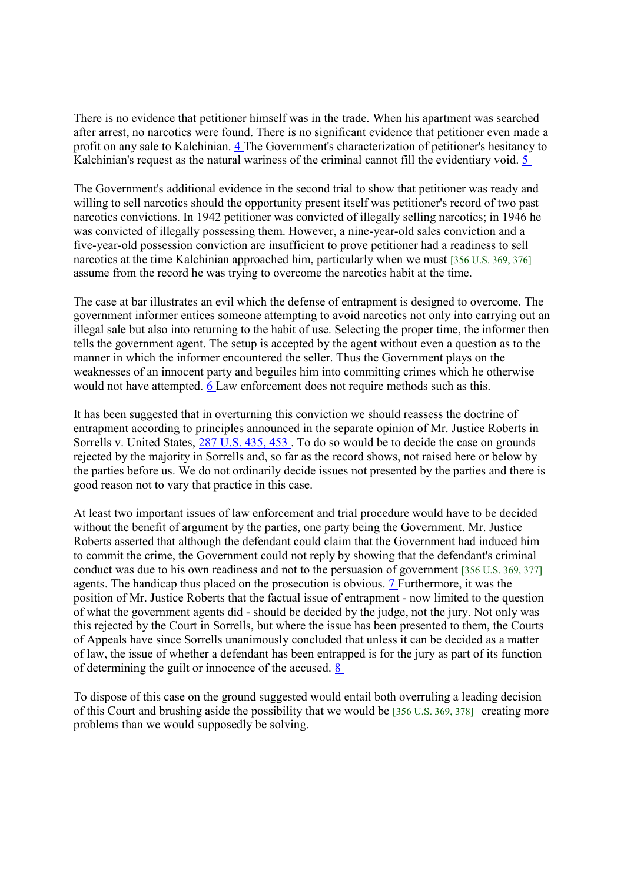There is no evidence that petitioner himself was in the trade. When his apartment was searched after arrest, no narcotics were found. There is no significant evidence that petitioner even made a profit on any sale to Kalchinian. 4 The Government's characterization of petitioner's hesitancy to Kalchinian's request as the natural wariness of the criminal cannot fill the evidentiary void. 5

The Government's additional evidence in the second trial to show that petitioner was ready and willing to sell narcotics should the opportunity present itself was petitioner's record of two past narcotics convictions. In 1942 petitioner was convicted of illegally selling narcotics; in 1946 he was convicted of illegally possessing them. However, a nine-year-old sales conviction and a five-year-old possession conviction are insufficient to prove petitioner had a readiness to sell narcotics at the time Kalchinian approached him, particularly when we must [356 U.S. 369, 376] assume from the record he was trying to overcome the narcotics habit at the time.

The case at bar illustrates an evil which the defense of entrapment is designed to overcome. The government informer entices someone attempting to avoid narcotics not only into carrying out an illegal sale but also into returning to the habit of use. Selecting the proper time, the informer then tells the government agent. The setup is accepted by the agent without even a question as to the manner in which the informer encountered the seller. Thus the Government plays on the weaknesses of an innocent party and beguiles him into committing crimes which he otherwise would not have attempted. 6 Law enforcement does not require methods such as this.

It has been suggested that in overturning this conviction we should reassess the doctrine of entrapment according to principles announced in the separate opinion of Mr. Justice Roberts in Sorrells v. United States, 287 U.S. 435, 453 . To do so would be to decide the case on grounds rejected by the majority in Sorrells and, so far as the record shows, not raised here or below by the parties before us. We do not ordinarily decide issues not presented by the parties and there is good reason not to vary that practice in this case.

At least two important issues of law enforcement and trial procedure would have to be decided without the benefit of argument by the parties, one party being the Government. Mr. Justice Roberts asserted that although the defendant could claim that the Government had induced him to commit the crime, the Government could not reply by showing that the defendant's criminal conduct was due to his own readiness and not to the persuasion of government [356 U.S. 369, 377] agents. The handicap thus placed on the prosecution is obvious. 7 Furthermore, it was the position of Mr. Justice Roberts that the factual issue of entrapment - now limited to the question of what the government agents did - should be decided by the judge, not the jury. Not only was this rejected by the Court in Sorrells, but where the issue has been presented to them, the Courts of Appeals have since Sorrells unanimously concluded that unless it can be decided as a matter of law, the issue of whether a defendant has been entrapped is for the jury as part of its function of determining the guilt or innocence of the accused. 8

To dispose of this case on the ground suggested would entail both overruling a leading decision of this Court and brushing aside the possibility that we would be [356 U.S. 369, 378] creating more problems than we would supposedly be solving.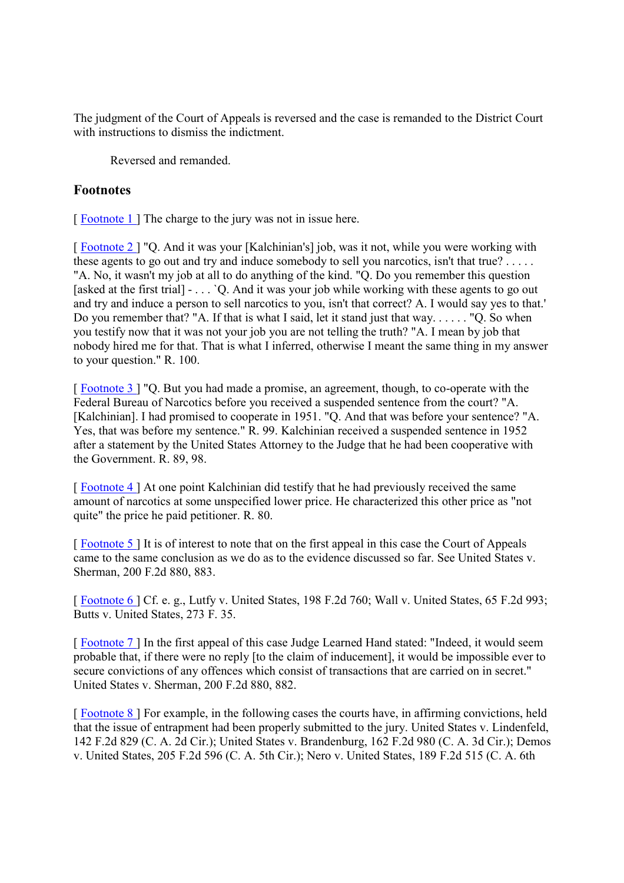The judgment of the Court of Appeals is reversed and the case is remanded to the District Court with instructions to dismiss the indictment.

Reversed and remanded.

## **Footnotes**

[ Footnote 1 ] The charge to the jury was not in issue here.

[Footnote 2] "Q. And it was your [Kalchinian's] job, was it not, while you were working with these agents to go out and try and induce somebody to sell you narcotics, isn't that true? . . . . . "A. No, it wasn't my job at all to do anything of the kind. "Q. Do you remember this question [asked at the first trial] - . . . `Q. And it was your job while working with these agents to go out and try and induce a person to sell narcotics to you, isn't that correct? A. I would say yes to that.' Do you remember that? "A. If that is what I said, let it stand just that way...... "O. So when you testify now that it was not your job you are not telling the truth? "A. I mean by job that nobody hired me for that. That is what I inferred, otherwise I meant the same thing in my answer to your question." R. 100.

[ Footnote 3 ] "Q. But you had made a promise, an agreement, though, to co-operate with the Federal Bureau of Narcotics before you received a suspended sentence from the court? "A. [Kalchinian]. I had promised to cooperate in 1951. "Q. And that was before your sentence? "A. Yes, that was before my sentence." R. 99. Kalchinian received a suspended sentence in 1952 after a statement by the United States Attorney to the Judge that he had been cooperative with the Government. R. 89, 98.

[ Footnote 4 ] At one point Kalchinian did testify that he had previously received the same amount of narcotics at some unspecified lower price. He characterized this other price as "not quite" the price he paid petitioner. R. 80.

[ Footnote 5 ] It is of interest to note that on the first appeal in this case the Court of Appeals came to the same conclusion as we do as to the evidence discussed so far. See United States v. Sherman, 200 F.2d 880, 883.

[ Footnote 6 ] Cf. e. g., Lutfy v. United States, 198 F.2d 760; Wall v. United States, 65 F.2d 993; Butts v. United States, 273 F. 35.

[ Footnote 7 ] In the first appeal of this case Judge Learned Hand stated: "Indeed, it would seem probable that, if there were no reply [to the claim of inducement], it would be impossible ever to secure convictions of any offences which consist of transactions that are carried on in secret." United States v. Sherman, 200 F.2d 880, 882.

[ Footnote 8 ] For example, in the following cases the courts have, in affirming convictions, held that the issue of entrapment had been properly submitted to the jury. United States v. Lindenfeld, 142 F.2d 829 (C. A. 2d Cir.); United States v. Brandenburg, 162 F.2d 980 (C. A. 3d Cir.); Demos v. United States, 205 F.2d 596 (C. A. 5th Cir.); Nero v. United States, 189 F.2d 515 (C. A. 6th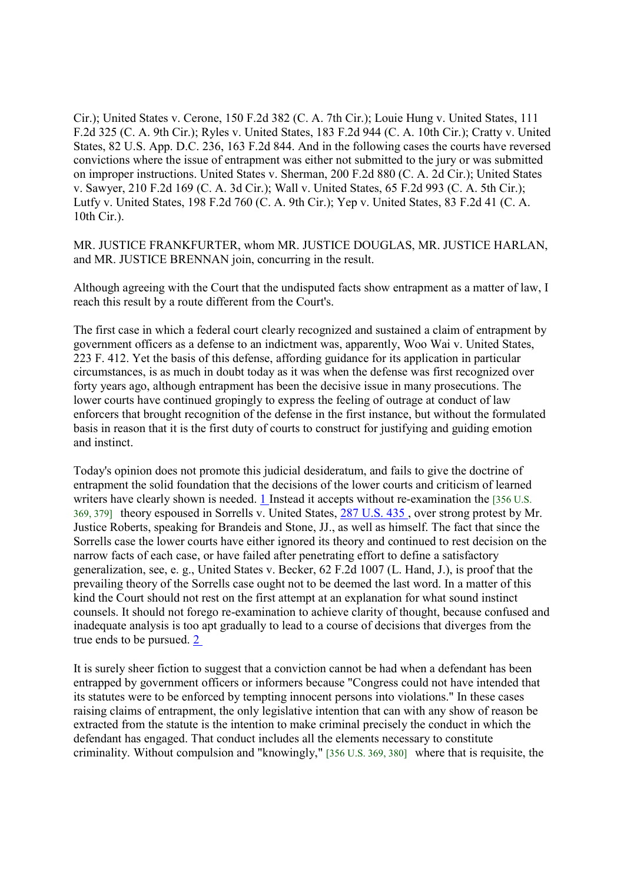Cir.); United States v. Cerone, 150 F.2d 382 (C. A. 7th Cir.); Louie Hung v. United States, 111 F.2d 325 (C. A. 9th Cir.); Ryles v. United States, 183 F.2d 944 (C. A. 10th Cir.); Cratty v. United States, 82 U.S. App. D.C. 236, 163 F.2d 844. And in the following cases the courts have reversed convictions where the issue of entrapment was either not submitted to the jury or was submitted on improper instructions. United States v. Sherman, 200 F.2d 880 (C. A. 2d Cir.); United States v. Sawyer, 210 F.2d 169 (C. A. 3d Cir.); Wall v. United States, 65 F.2d 993 (C. A. 5th Cir.); Lutfy v. United States, 198 F.2d 760 (C. A. 9th Cir.); Yep v. United States, 83 F.2d 41 (C. A. 10th Cir.).

MR. JUSTICE FRANKFURTER, whom MR. JUSTICE DOUGLAS, MR. JUSTICE HARLAN, and MR. JUSTICE BRENNAN join, concurring in the result.

Although agreeing with the Court that the undisputed facts show entrapment as a matter of law, I reach this result by a route different from the Court's.

The first case in which a federal court clearly recognized and sustained a claim of entrapment by government officers as a defense to an indictment was, apparently, Woo Wai v. United States, 223 F. 412. Yet the basis of this defense, affording guidance for its application in particular circumstances, is as much in doubt today as it was when the defense was first recognized over forty years ago, although entrapment has been the decisive issue in many prosecutions. The lower courts have continued gropingly to express the feeling of outrage at conduct of law enforcers that brought recognition of the defense in the first instance, but without the formulated basis in reason that it is the first duty of courts to construct for justifying and guiding emotion and instinct.

Today's opinion does not promote this judicial desideratum, and fails to give the doctrine of entrapment the solid foundation that the decisions of the lower courts and criticism of learned writers have clearly shown is needed. 1 Instead it accepts without re-examination the [356 U.S.] 369, 379] theory espoused in Sorrells v. United States, 287 U.S. 435 , over strong protest by Mr. Justice Roberts, speaking for Brandeis and Stone, JJ., as well as himself. The fact that since the Sorrells case the lower courts have either ignored its theory and continued to rest decision on the narrow facts of each case, or have failed after penetrating effort to define a satisfactory generalization, see, e. g., United States v. Becker, 62 F.2d 1007 (L. Hand, J.), is proof that the prevailing theory of the Sorrells case ought not to be deemed the last word. In a matter of this kind the Court should not rest on the first attempt at an explanation for what sound instinct counsels. It should not forego re-examination to achieve clarity of thought, because confused and inadequate analysis is too apt gradually to lead to a course of decisions that diverges from the true ends to be pursued. 2

It is surely sheer fiction to suggest that a conviction cannot be had when a defendant has been entrapped by government officers or informers because "Congress could not have intended that its statutes were to be enforced by tempting innocent persons into violations." In these cases raising claims of entrapment, the only legislative intention that can with any show of reason be extracted from the statute is the intention to make criminal precisely the conduct in which the defendant has engaged. That conduct includes all the elements necessary to constitute criminality. Without compulsion and "knowingly," [356 U.S. 369, 380] where that is requisite, the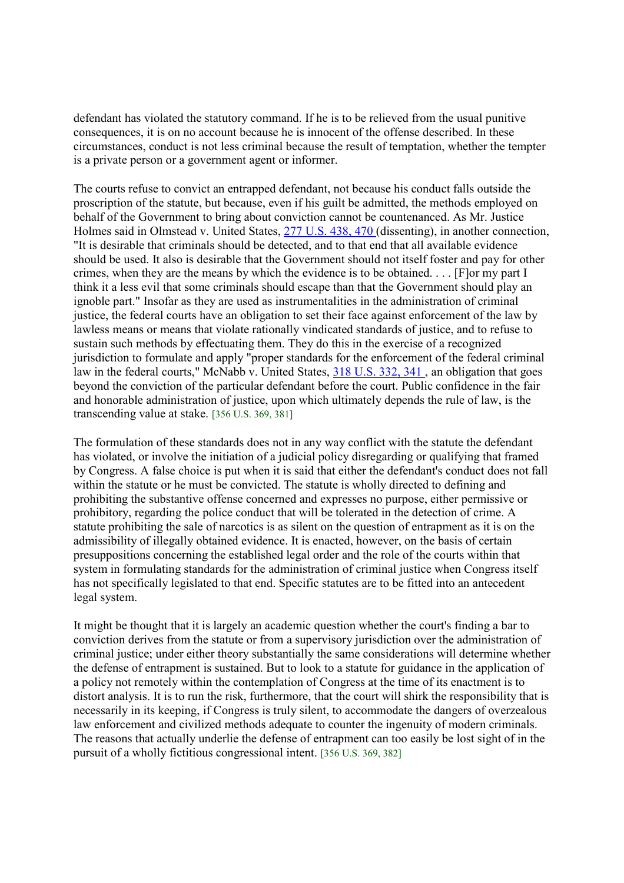defendant has violated the statutory command. If he is to be relieved from the usual punitive consequences, it is on no account because he is innocent of the offense described. In these circumstances, conduct is not less criminal because the result of temptation, whether the tempter is a private person or a government agent or informer.

The courts refuse to convict an entrapped defendant, not because his conduct falls outside the proscription of the statute, but because, even if his guilt be admitted, the methods employed on behalf of the Government to bring about conviction cannot be countenanced. As Mr. Justice Holmes said in Olmstead v. United States, 277 U.S. 438, 470 (dissenting), in another connection, "It is desirable that criminals should be detected, and to that end that all available evidence should be used. It also is desirable that the Government should not itself foster and pay for other crimes, when they are the means by which the evidence is to be obtained. . . . [F]or my part I think it a less evil that some criminals should escape than that the Government should play an ignoble part." Insofar as they are used as instrumentalities in the administration of criminal justice, the federal courts have an obligation to set their face against enforcement of the law by lawless means or means that violate rationally vindicated standards of justice, and to refuse to sustain such methods by effectuating them. They do this in the exercise of a recognized jurisdiction to formulate and apply "proper standards for the enforcement of the federal criminal law in the federal courts," McNabb v. United States, 318 U.S. 332, 341 , an obligation that goes beyond the conviction of the particular defendant before the court. Public confidence in the fair and honorable administration of justice, upon which ultimately depends the rule of law, is the transcending value at stake. [356 U.S. 369, 381]

The formulation of these standards does not in any way conflict with the statute the defendant has violated, or involve the initiation of a judicial policy disregarding or qualifying that framed by Congress. A false choice is put when it is said that either the defendant's conduct does not fall within the statute or he must be convicted. The statute is wholly directed to defining and prohibiting the substantive offense concerned and expresses no purpose, either permissive or prohibitory, regarding the police conduct that will be tolerated in the detection of crime. A statute prohibiting the sale of narcotics is as silent on the question of entrapment as it is on the admissibility of illegally obtained evidence. It is enacted, however, on the basis of certain presuppositions concerning the established legal order and the role of the courts within that system in formulating standards for the administration of criminal justice when Congress itself has not specifically legislated to that end. Specific statutes are to be fitted into an antecedent legal system.

It might be thought that it is largely an academic question whether the court's finding a bar to conviction derives from the statute or from a supervisory jurisdiction over the administration of criminal justice; under either theory substantially the same considerations will determine whether the defense of entrapment is sustained. But to look to a statute for guidance in the application of a policy not remotely within the contemplation of Congress at the time of its enactment is to distort analysis. It is to run the risk, furthermore, that the court will shirk the responsibility that is necessarily in its keeping, if Congress is truly silent, to accommodate the dangers of overzealous law enforcement and civilized methods adequate to counter the ingenuity of modern criminals. The reasons that actually underlie the defense of entrapment can too easily be lost sight of in the pursuit of a wholly fictitious congressional intent. [356 U.S. 369, 382]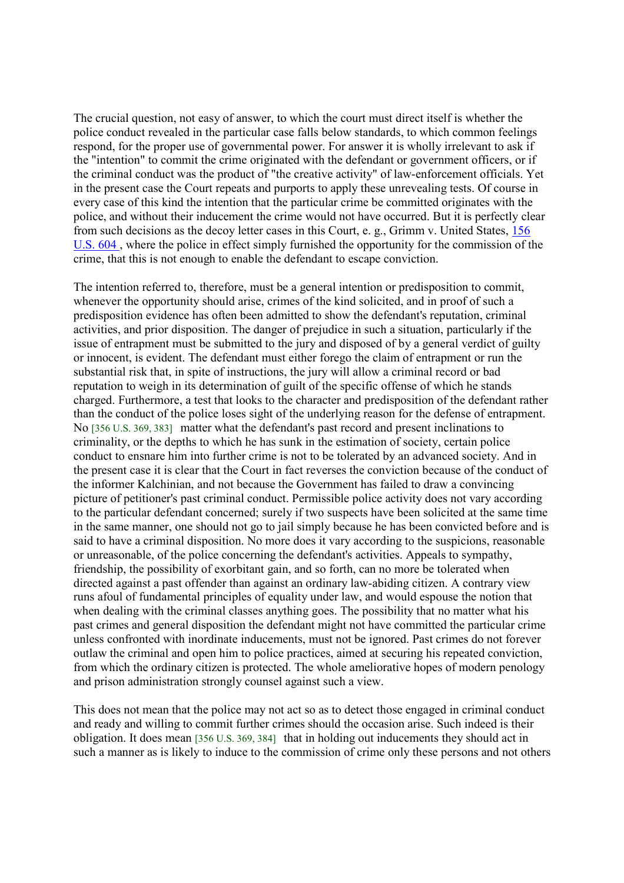The crucial question, not easy of answer, to which the court must direct itself is whether the police conduct revealed in the particular case falls below standards, to which common feelings respond, for the proper use of governmental power. For answer it is wholly irrelevant to ask if the "intention" to commit the crime originated with the defendant or government officers, or if the criminal conduct was the product of "the creative activity" of law-enforcement officials. Yet in the present case the Court repeats and purports to apply these unrevealing tests. Of course in every case of this kind the intention that the particular crime be committed originates with the police, and without their inducement the crime would not have occurred. But it is perfectly clear from such decisions as the decoy letter cases in this Court, e. g., Grimm v. United States, 156 U.S. 604 , where the police in effect simply furnished the opportunity for the commission of the crime, that this is not enough to enable the defendant to escape conviction.

The intention referred to, therefore, must be a general intention or predisposition to commit, whenever the opportunity should arise, crimes of the kind solicited, and in proof of such a predisposition evidence has often been admitted to show the defendant's reputation, criminal activities, and prior disposition. The danger of prejudice in such a situation, particularly if the issue of entrapment must be submitted to the jury and disposed of by a general verdict of guilty or innocent, is evident. The defendant must either forego the claim of entrapment or run the substantial risk that, in spite of instructions, the jury will allow a criminal record or bad reputation to weigh in its determination of guilt of the specific offense of which he stands charged. Furthermore, a test that looks to the character and predisposition of the defendant rather than the conduct of the police loses sight of the underlying reason for the defense of entrapment. No [356 U.S. 369, 383] matter what the defendant's past record and present inclinations to criminality, or the depths to which he has sunk in the estimation of society, certain police conduct to ensnare him into further crime is not to be tolerated by an advanced society. And in the present case it is clear that the Court in fact reverses the conviction because of the conduct of the informer Kalchinian, and not because the Government has failed to draw a convincing picture of petitioner's past criminal conduct. Permissible police activity does not vary according to the particular defendant concerned; surely if two suspects have been solicited at the same time in the same manner, one should not go to jail simply because he has been convicted before and is said to have a criminal disposition. No more does it vary according to the suspicions, reasonable or unreasonable, of the police concerning the defendant's activities. Appeals to sympathy, friendship, the possibility of exorbitant gain, and so forth, can no more be tolerated when directed against a past offender than against an ordinary law-abiding citizen. A contrary view runs afoul of fundamental principles of equality under law, and would espouse the notion that when dealing with the criminal classes anything goes. The possibility that no matter what his past crimes and general disposition the defendant might not have committed the particular crime unless confronted with inordinate inducements, must not be ignored. Past crimes do not forever outlaw the criminal and open him to police practices, aimed at securing his repeated conviction, from which the ordinary citizen is protected. The whole ameliorative hopes of modern penology and prison administration strongly counsel against such a view.

This does not mean that the police may not act so as to detect those engaged in criminal conduct and ready and willing to commit further crimes should the occasion arise. Such indeed is their obligation. It does mean [356 U.S. 369, 384] that in holding out inducements they should act in such a manner as is likely to induce to the commission of crime only these persons and not others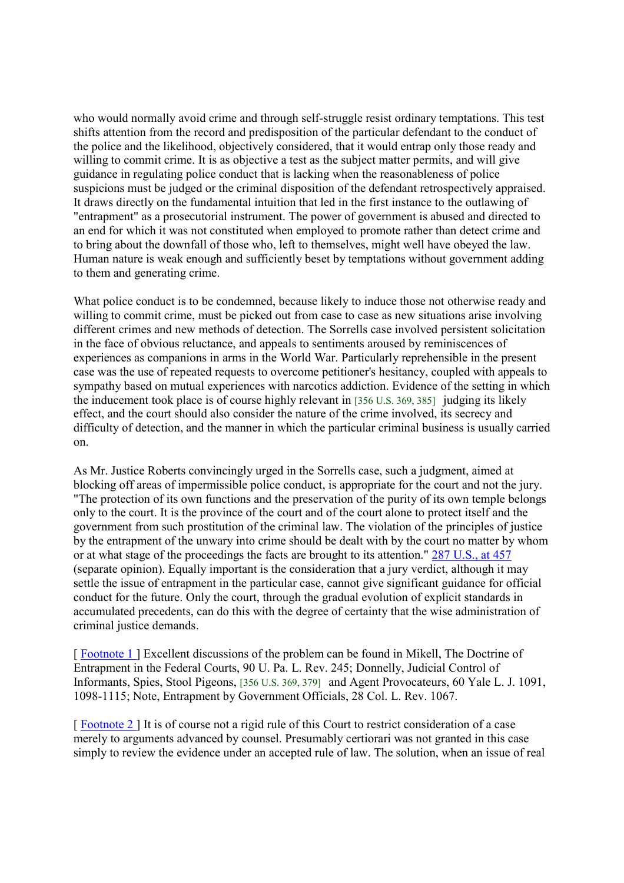who would normally avoid crime and through self-struggle resist ordinary temptations. This test shifts attention from the record and predisposition of the particular defendant to the conduct of the police and the likelihood, objectively considered, that it would entrap only those ready and willing to commit crime. It is as objective a test as the subject matter permits, and will give guidance in regulating police conduct that is lacking when the reasonableness of police suspicions must be judged or the criminal disposition of the defendant retrospectively appraised. It draws directly on the fundamental intuition that led in the first instance to the outlawing of "entrapment" as a prosecutorial instrument. The power of government is abused and directed to an end for which it was not constituted when employed to promote rather than detect crime and to bring about the downfall of those who, left to themselves, might well have obeyed the law. Human nature is weak enough and sufficiently beset by temptations without government adding to them and generating crime.

What police conduct is to be condemned, because likely to induce those not otherwise ready and willing to commit crime, must be picked out from case to case as new situations arise involving different crimes and new methods of detection. The Sorrells case involved persistent solicitation in the face of obvious reluctance, and appeals to sentiments aroused by reminiscences of experiences as companions in arms in the World War. Particularly reprehensible in the present case was the use of repeated requests to overcome petitioner's hesitancy, coupled with appeals to sympathy based on mutual experiences with narcotics addiction. Evidence of the setting in which the inducement took place is of course highly relevant in [356 U.S. 369, 385] judging its likely effect, and the court should also consider the nature of the crime involved, its secrecy and difficulty of detection, and the manner in which the particular criminal business is usually carried on.

As Mr. Justice Roberts convincingly urged in the Sorrells case, such a judgment, aimed at blocking off areas of impermissible police conduct, is appropriate for the court and not the jury. "The protection of its own functions and the preservation of the purity of its own temple belongs only to the court. It is the province of the court and of the court alone to protect itself and the government from such prostitution of the criminal law. The violation of the principles of justice by the entrapment of the unwary into crime should be dealt with by the court no matter by whom or at what stage of the proceedings the facts are brought to its attention." 287 U.S., at 457 (separate opinion). Equally important is the consideration that a jury verdict, although it may settle the issue of entrapment in the particular case, cannot give significant guidance for official conduct for the future. Only the court, through the gradual evolution of explicit standards in accumulated precedents, can do this with the degree of certainty that the wise administration of criminal justice demands.

[ Footnote 1 ] Excellent discussions of the problem can be found in Mikell, The Doctrine of Entrapment in the Federal Courts, 90 U. Pa. L. Rev. 245; Donnelly, Judicial Control of Informants, Spies, Stool Pigeons, [356 U.S. 369, 379] and Agent Provocateurs, 60 Yale L. J. 1091, 1098-1115; Note, Entrapment by Government Officials, 28 Col. L. Rev. 1067.

[Footnote 2] It is of course not a rigid rule of this Court to restrict consideration of a case merely to arguments advanced by counsel. Presumably certiorari was not granted in this case simply to review the evidence under an accepted rule of law. The solution, when an issue of real